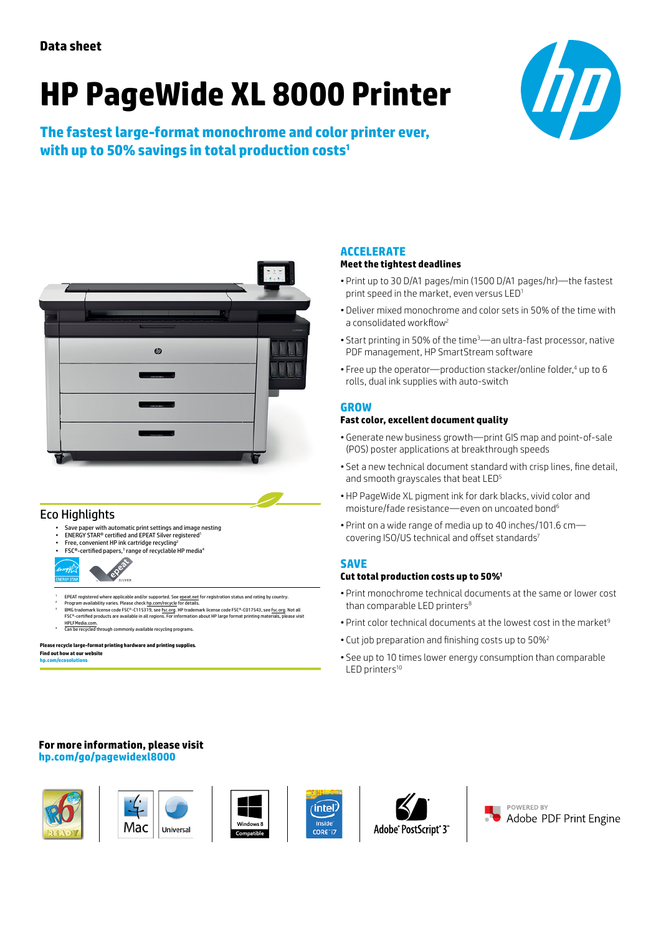# **HP PageWide XL 8000 Printer**

**The fastest large-format monochrome and color printer ever, with up to 50% savings in total production costs1**





## Eco Highlights

- Save paper with automatic print settings and image nesting
- ENERGY STAR® certified and EPEAT Silver registered1 • Free, convenient HP ink cartridge recycling2
- FSC®-certified papers,3 range of recyclable HP media4



- EPEAT registered where applicable and/or supported. Se[e epeat.net f](http://www.epeat.net)or registration status and rating by country<br>Program availability varies. Please check hp.com/recvcle for details.
- ° Program availability varies. Please check h<u>p.com/recycle</u> for details.<br>9 MG trademark license code FSC®-C115319, see <u>fsc.org</u>. HP trademark license code FSC®-C017543, see <u>fsc.org</u>. Not all<br>FSC®-certified products are ese sections.<br>IPLFMedia.co
- n be available recycling

#### **Please recycle large-format printing hardware and printing supplies. Find out how at our website [hp.com/ecosolutions](http://www.hp.com/ecosolutions)**

#### **ACCELERATE**

#### **Meet the tightest deadlines**

- Print up to 30 D/A1 pages/min (1500 D/A1 pages/hr)—the fastest print speed in the market, even versus LED<sup>1</sup>
- Deliver mixed monochrome and color sets in 50% of the time with a consolidated workflow<sup>2</sup>
- Start printing in 50% of the time3—an ultra-fast processor, native PDF management, HP SmartStream software
- Free up the operator—production stacker/online folder,<sup>4</sup> up to 6 rolls, dual ink supplies with auto-switch

#### **GROW**

#### **Fast color, excellent document quality**

- Generate new business growth—print GIS map and point-of-sale (POS) poster applications at breakthrough speeds
- Set a new technical document standard with crisp lines, fine detail, and smooth grayscales that beat LED<sup>5</sup>
- HP PageWide XL pigment ink for dark blacks, vivid color and moisture/fade resistance—even on uncoated bond6
- Print on a wide range of media up to 40 inches/101.6 cm covering ISO/US technical and offset standards<sup>7</sup>

#### **SAVE**

#### **Cut total production costs up to 50%1**

- Print monochrome technical documents at the same or lower cost than comparable LED printers<sup>8</sup>
- Print color technical documents at the lowest cost in the market<sup>9</sup>
- Cut job preparation and finishing costs up to 50%<sup>2</sup>
- See up to 10 times lower energy consumption than comparable LED printers<sup>10</sup>

#### **For more information, please visit [hp.com/go/pagewidexl8000](http://www.hp.com/go/pagewidexl8000)**







intel

**CORE**<sup>1</sup>



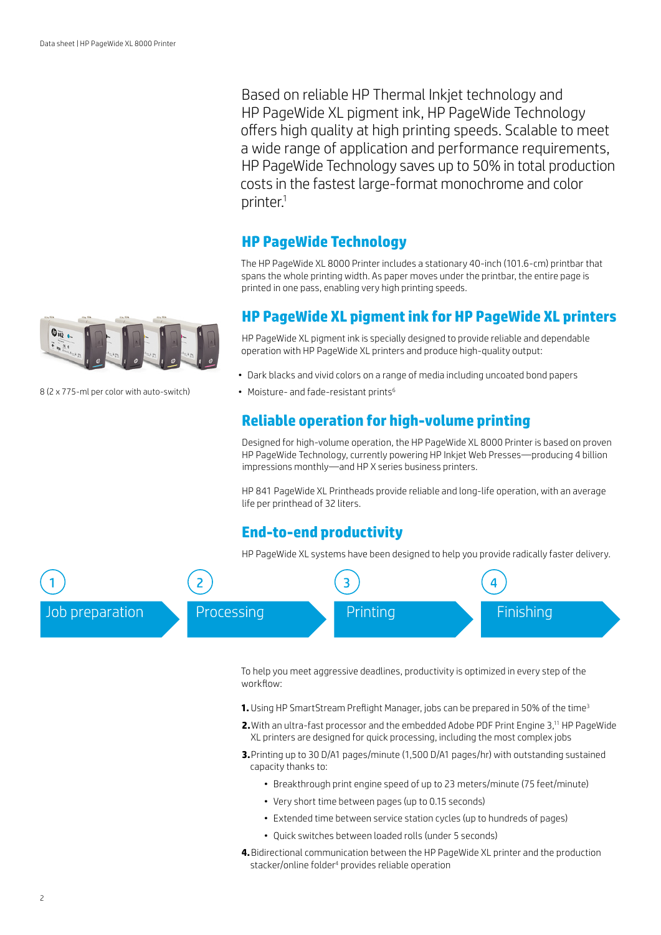Based on reliable HP Thermal Inkjet technology and HP PageWide XL pigment ink, HP PageWide Technology offers high quality at high printing speeds. Scalable to meet a wide range of application and performance requirements, HP PageWide Technology saves up to 50% in total production costs in the fastest large-format monochrome and color printer.1

## **HP PageWide Technology**

The HP PageWide XL 8000 Printer includes a stationary 40-inch (101.6-cm) printbar that spans the whole printing width. As paper moves under the printbar, the entire page is printed in one pass, enabling very high printing speeds.

### **HP PageWide XL pigment ink for HP PageWide XL printers**

HP PageWide XL pigment ink is specially designed to provide reliable and dependable operation with HP PageWide XL printers and produce high-quality output:

- Dark blacks and vivid colors on a range of media including uncoated bond papers
- Moisture- and fade-resistant prints<sup>6</sup>

## **Reliable operation for high-volume printing**

Designed for high-volume operation, the HP PageWide XL 8000 Printer is based on proven HP PageWide Technology, currently powering HP Inkjet Web Presses—producing 4 billion impressions monthly—and HP X series business printers.

HP 841 PageWide XL Printheads provide reliable and long-life operation, with an average life per printhead of 32 liters.

## **End-to-end productivity**

HP PageWide XL systems have been designed to help you provide radically faster delivery.



To help you meet aggressive deadlines, productivity is optimized in every step of the workflow:

- 1. Using HP SmartStream Preflight Manager, jobs can be prepared in 50% of the time<sup>3</sup>
- **2.** With an ultra-fast processor and the embedded Adobe PDF Print Engine 3,<sup>11</sup> HP PageWide XL printers are designed for quick processing, including the most complex jobs
- **3.**Printing up to 30 D/A1 pages/minute (1,500 D/A1 pages/hr) with outstanding sustained capacity thanks to:
	- Breakthrough print engine speed of up to 23 meters/minute (75 feet/minute)
	- Very short time between pages (up to 0.15 seconds)
	- Extended time between service station cycles (up to hundreds of pages)
	- Quick switches between loaded rolls (under 5 seconds)
- **4.** Bidirectional communication between the HP PageWide XL printer and the production stacker/online folder<sup>4</sup> provides reliable operation



8 (2 x 775-ml per color with auto-switch)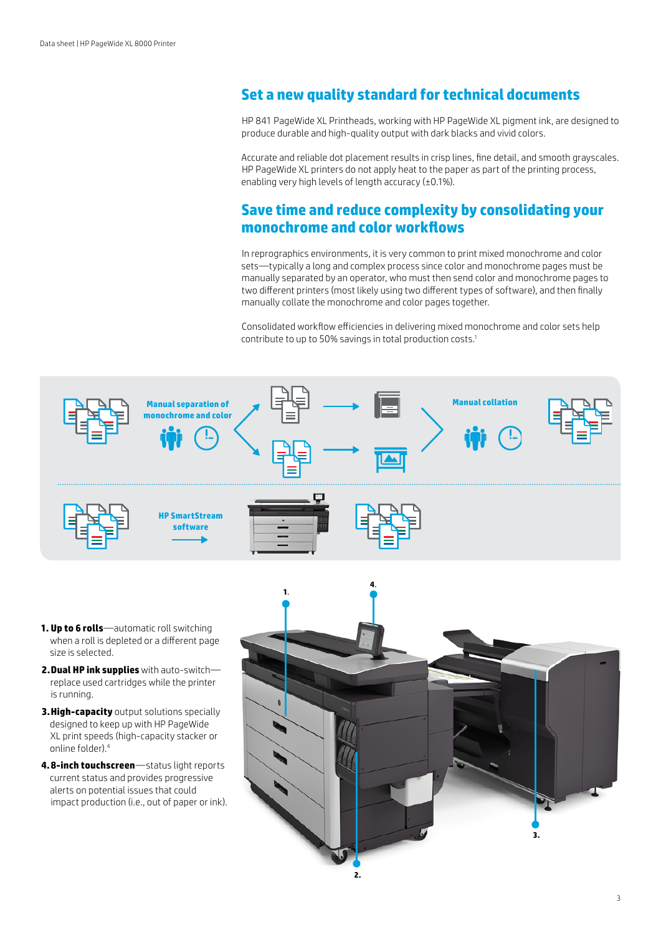## **Set a new quality standard for technical documents**

HP 841 PageWide XL Printheads, working with HP PageWide XL pigment ink, are designed to produce durable and high-quality output with dark blacks and vivid colors.

Accurate and reliable dot placement results in crisp lines, fine detail, and smooth grayscales. HP PageWide XL printers do not apply heat to the paper as part of the printing process, enabling very high levels of length accuracy (±0.1%).

## **Save time and reduce complexity by consolidating your monochrome and color workflows**

In reprographics environments, it is very common to print mixed monochrome and color sets—typically a long and complex process since color and monochrome pages must be manually separated by an operator, who must then send color and monochrome pages to two different printers (most likely using two different types of software), and then finally manually collate the monochrome and color pages together.

Consolidated workflow efficiencies in delivering mixed monochrome and color sets help contribute to up to 50% savings in total production costs.1



- **1. Up to 6 rolls**—automatic roll switching when a roll is depleted or a different page size is selected.
- **2.Dual HP ink supplies** with auto-switch replace used cartridges while the printer is running.
- **3.High-capacity** output solutions specially designed to keep up with HP PageWide XL print speeds (high-capacity stacker or online folder).4
- **4.8-inch touchscreen**—status light reports current status and provides progressive alerts on potential issues that could impact production (i.e., out of paper or ink).